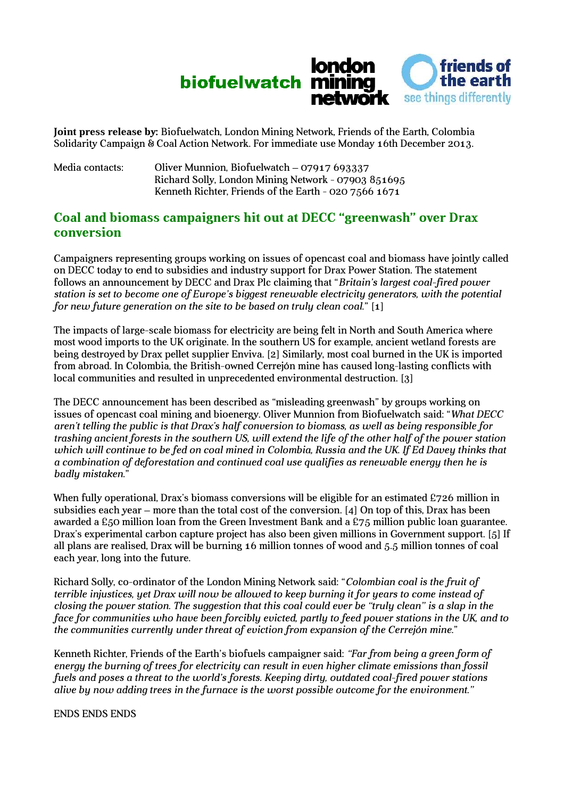

**Joint press release by:** Biofuelwatch, London Mining Network, Friends of the Earth, Colombia Solidarity Campaign & Coal Action Network. For immediate use Monday 16th December 2013.

Media contacts: Oliver Munnion, Biofuelwatch – 07917 693337 Richard Solly, London Mining Network - 07903 851695 Kenneth Richter, Friends of the Earth - 020 7566 1671

## **Coal and biomass campaigners hit out at DECC "greenwash" over Drax conversion**

Campaigners representing groups working on issues of opencast coal and biomass have jointly called on DECC today to end to subsidies and industry support for Drax Power Station. The statement follows an announcement by DECC and Drax Plc claiming that "*Britain's largest coal-fired power station is set to become one of Europe's biggest renewable electricity generators, with the potential for new future generation on the site to be based on truly clean coal.*" [1]

The impacts of large-scale biomass for electricity are being felt in North and South America where most wood imports to the UK originate. In the southern US for example, ancient wetland forests are being destroyed by Drax pellet supplier Enviva. [2] Similarly, most coal burned in the UK is imported from abroad. In Colombia, the British-owned Cerrejón mine has caused long-lasting conflicts with local communities and resulted in unprecedented environmental destruction. [3]

The DECC announcement has been described as "misleading greenwash" by groups working on issues of opencast coal mining and bioenergy. Oliver Munnion from Biofuelwatch said: "*What DECC aren't telling the public is that Drax's half conversion to biomass, as well as being responsible for trashing ancient forests in the southern US, will extend the life of the other half of the power station*  which will continue to be fed on coal mined in Colombia, Russia and the UK. If Ed Davey thinks that *a combination of deforestation and continued coal use qualifies as renewable energy then he is badly mistaken.*"

When fully operational, Drax's biomass conversions will be eligible for an estimated £726 million in subsidies each year – more than the total cost of the conversion. [4] On top of this, Drax has been awarded a £50 million loan from the Green Investment Bank and a £75 million public loan guarantee. Drax's experimental carbon capture project has also been given millions in Government support. [5] If all plans are realised, Drax will be burning 16 million tonnes of wood and 5.5 million tonnes of coal each year, long into the future.

Richard Solly, co-ordinator of the London Mining Network said: "*Colombian coal is the fruit of terrible injustices, yet Drax will now be allowed to keep burning it for years to come instead of closing the power station. The suggestion that this coal could ever be "truly clean" is a slap in the face for communities who have been forcibly evicted, partly to feed power stations in the UK, and to the communities currently under threat of eviction from expansion of the Cerrejón mine.*"

Kenneth Richter, Friends of the Earth's biofuels campaigner said: *"Far from being a green form of energy the burning of trees for electricity can result in even higher climate emissions than fossil fuels and poses a threat to the world's forests. Keeping dirty, outdated coal-fired power stations alive by now adding trees in the furnace is the worst possible outcome for the environment."*

ENDS ENDS ENDS